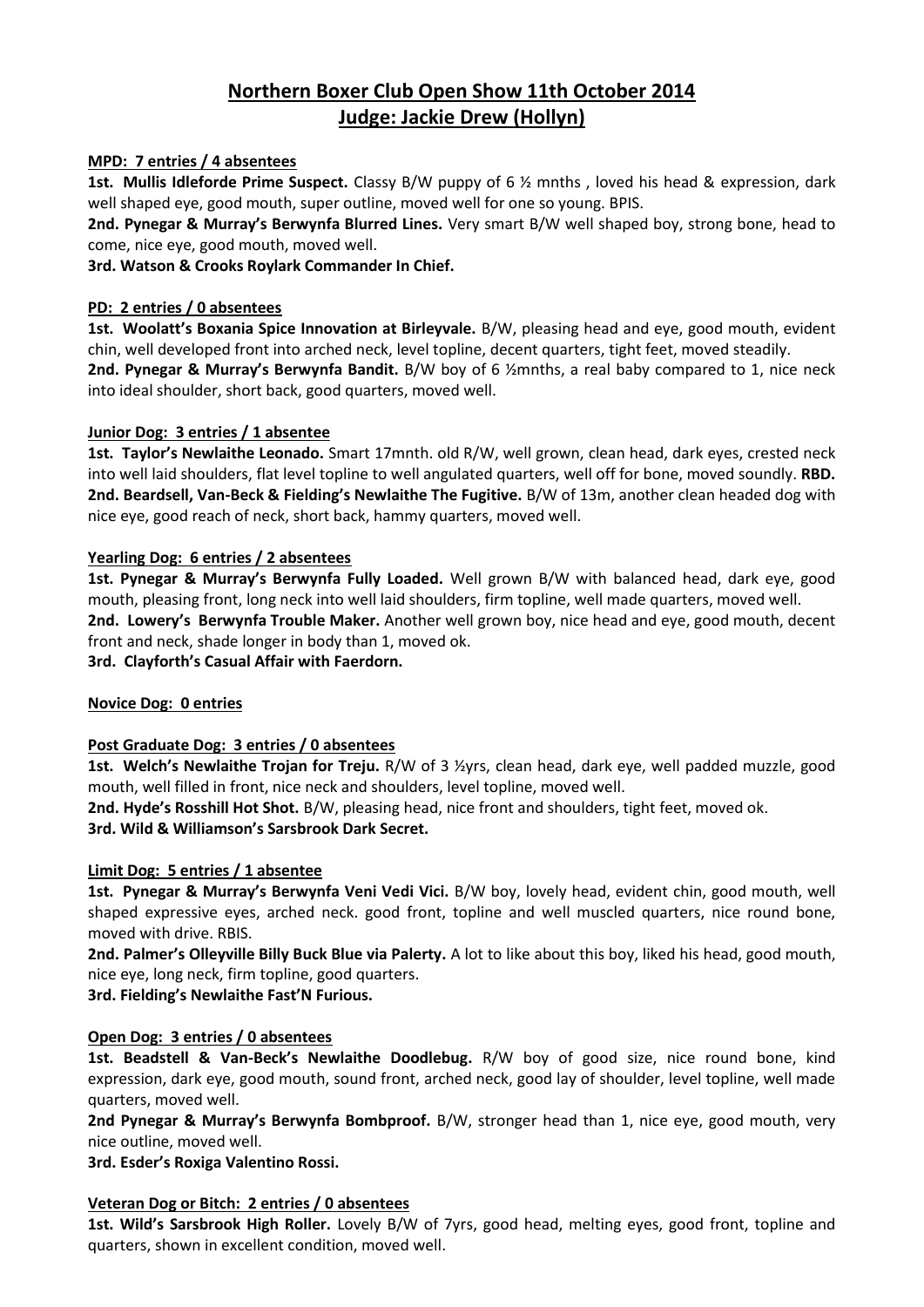# **Northern Boxer Club Open Show 11th October 2014 Judge: Jackie Drew (Hollyn)**

## **MPD: 7 entries / 4 absentees**

**1st. Mullis Idleforde Prime Suspect.** Classy B/W puppy of 6 ½ mnths , loved his head & expression, dark well shaped eye, good mouth, super outline, moved well for one so young. BPIS.

**2nd. Pynegar & Murray's Berwynfa Blurred Lines.** Very smart B/W well shaped boy, strong bone, head to come, nice eye, good mouth, moved well.

**3rd. Watson & Crooks Roylark Commander In Chief.**

### **PD: 2 entries / 0 absentees**

**1st. Woolatt's Boxania Spice Innovation at Birleyvale.** B/W, pleasing head and eye, good mouth, evident chin, well developed front into arched neck, level topline, decent quarters, tight feet, moved steadily. **2nd. Pynegar & Murray's Berwynfa Bandit.** B/W boy of 6 ½mnths, a real baby compared to 1, nice neck

into ideal shoulder, short back, good quarters, moved well.

#### **Junior Dog: 3 entries / 1 absentee**

**1st. Taylor's Newlaithe Leonado.** Smart 17mnth. old R/W, well grown, clean head, dark eyes, crested neck into well laid shoulders, flat level topline to well angulated quarters, well off for bone, moved soundly. **RBD. 2nd. Beardsell, Van-Beck & Fielding's Newlaithe The Fugitive.** B/W of 13m, another clean headed dog with nice eye, good reach of neck, short back, hammy quarters, moved well.

## **Yearling Dog: 6 entries / 2 absentees**

**1st. Pynegar & Murray's Berwynfa Fully Loaded.** Well grown B/W with balanced head, dark eye, good mouth, pleasing front, long neck into well laid shoulders, firm topline, well made quarters, moved well. **2nd. Lowery's Berwynfa Trouble Maker.** Another well grown boy, nice head and eye, good mouth, decent front and neck, shade longer in body than 1, moved ok. **3rd. Clayforth's Casual Affair with Faerdorn.**

# **Novice Dog: 0 entries**

# **Post Graduate Dog: 3 entries / 0 absentees**

**1st. Welch's Newlaithe Trojan for Treju.** R/W of 3 ½yrs, clean head, dark eye, well padded muzzle, good mouth, well filled in front, nice neck and shoulders, level topline, moved well.

**2nd. Hyde's Rosshill Hot Shot.** B/W, pleasing head, nice front and shoulders, tight feet, moved ok. **3rd. Wild & Williamson's Sarsbrook Dark Secret.**

#### **Limit Dog: 5 entries / 1 absentee**

**1st. Pynegar & Murray's Berwynfa Veni Vedi Vici.** B/W boy, lovely head, evident chin, good mouth, well shaped expressive eyes, arched neck. good front, topline and well muscled quarters, nice round bone, moved with drive. RBIS.

**2nd. Palmer's Olleyville Billy Buck Blue via Palerty.** A lot to like about this boy, liked his head, good mouth, nice eye, long neck, firm topline, good quarters.

**3rd. Fielding's Newlaithe Fast'N Furious.**

#### **Open Dog: 3 entries / 0 absentees**

**1st. Beadstell & Van-Beck's Newlaithe Doodlebug.** R/W boy of good size, nice round bone, kind expression, dark eye, good mouth, sound front, arched neck, good lay of shoulder, level topline, well made quarters, moved well.

**2nd Pynegar & Murray's Berwynfa Bombproof.** B/W, stronger head than 1, nice eye, good mouth, very nice outline, moved well.

**3rd. Esder's Roxiga Valentino Rossi.** 

# **Veteran Dog or Bitch: 2 entries / 0 absentees**

**1st. Wild's Sarsbrook High Roller.** Lovely B/W of 7yrs, good head, melting eyes, good front, topline and quarters, shown in excellent condition, moved well.